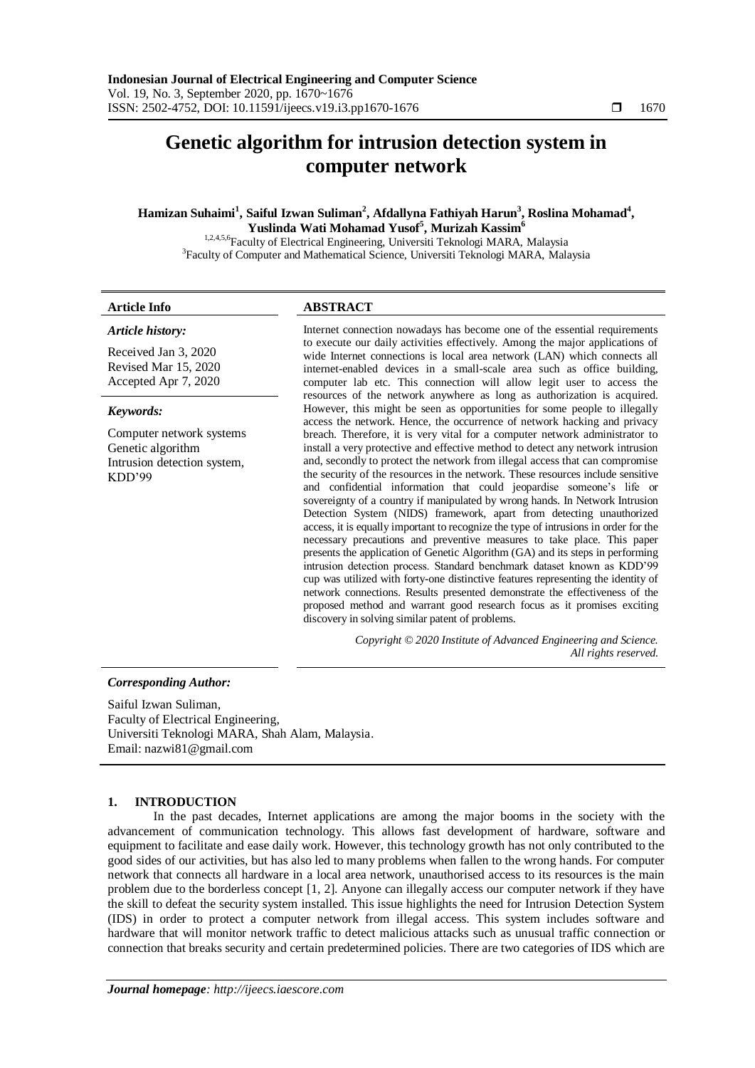# **Genetic algorithm for intrusion detection system in computer network**

# **Hamizan Suhaimi<sup>1</sup> , Saiful Izwan Suliman<sup>2</sup> , Afdallyna Fathiyah Harun<sup>3</sup> , Roslina Mohamad<sup>4</sup> , Yuslinda Wati Mohamad Yusof<sup>5</sup> , Murizah Kassim<sup>6</sup>**

1,2,4,5,6Faculty of Electrical Engineering, Universiti Teknologi MARA, Malaysia <sup>3</sup>Faculty of Computer and Mathematical Science, Universiti Teknologi MARA, Malaysia

# **Article Info ABSTRACT**

*Article history:*

Received Jan 3, 2020 Revised Mar 15, 2020 Accepted Apr 7, 2020

## *Keywords:*

Computer network systems Genetic algorithm Intrusion detection system, KDD'99

Internet connection nowadays has become one of the essential requirements to execute our daily activities effectively. Among the major applications of wide Internet connections is local area network (LAN) which connects all internet-enabled devices in a small-scale area such as office building, computer lab etc. This connection will allow legit user to access the resources of the network anywhere as long as authorization is acquired. However, this might be seen as opportunities for some people to illegally access the network. Hence, the occurrence of network hacking and privacy breach. Therefore, it is very vital for a computer network administrator to install a very protective and effective method to detect any network intrusion and, secondly to protect the network from illegal access that can compromise the security of the resources in the network. These resources include sensitive and confidential information that could jeopardise someone's life or sovereignty of a country if manipulated by wrong hands. In Network Intrusion Detection System (NIDS) framework, apart from detecting unauthorized access, it is equally important to recognize the type of intrusions in order for the necessary precautions and preventive measures to take place. This paper presents the application of Genetic Algorithm (GA) and its steps in performing intrusion detection process. Standard benchmark dataset known as KDD'99 cup was utilized with forty-one distinctive features representing the identity of network connections. Results presented demonstrate the effectiveness of the proposed method and warrant good research focus as it promises exciting discovery in solving similar patent of problems.

> *Copyright © 2020 Institute of Advanced Engineering and Science. All rights reserved.*

### *Corresponding Author:*

Saiful Izwan Suliman, Faculty of Electrical Engineering, Universiti Teknologi MARA, Shah Alam, Malaysia. Email: nazwi81@gmail.com

# **1. INTRODUCTION**

In the past decades, Internet applications are among the major booms in the society with the advancement of communication technology. This allows fast development of hardware, software and equipment to facilitate and ease daily work. However, this technology growth has not only contributed to the good sides of our activities, but has also led to many problems when fallen to the wrong hands. For computer network that connects all hardware in a local area network, unauthorised access to its resources is the main problem due to the borderless concept [1, 2]. Anyone can illegally access our computer network if they have the skill to defeat the security system installed. This issue highlights the need for Intrusion Detection System (IDS) in order to protect a computer network from illegal access. This system includes software and hardware that will monitor network traffic to detect malicious attacks such as unusual traffic connection or connection that breaks security and certain predetermined policies. There are two categories of IDS which are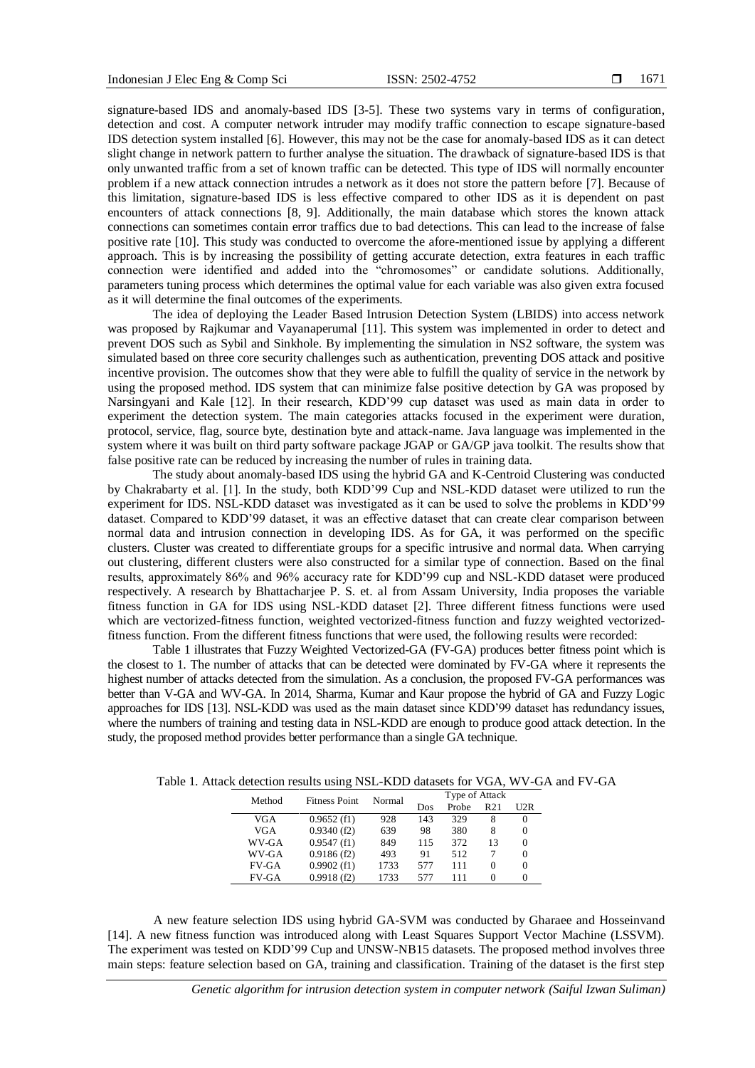signature-based IDS and anomaly-based IDS [3-5]. These two systems vary in terms of configuration, detection and cost. A computer network intruder may modify traffic connection to escape signature-based IDS detection system installed [6]. However, this may not be the case for anomaly-based IDS as it can detect slight change in network pattern to further analyse the situation. The drawback of signature-based IDS is that only unwanted traffic from a set of known traffic can be detected. This type of IDS will normally encounter problem if a new attack connection intrudes a network as it does not store the pattern before [7]. Because of this limitation, signature-based IDS is less effective compared to other IDS as it is dependent on past encounters of attack connections [8, 9]. Additionally, the main database which stores the known attack connections can sometimes contain error traffics due to bad detections. This can lead to the increase of false positive rate [10]. This study was conducted to overcome the afore-mentioned issue by applying a different approach. This is by increasing the possibility of getting accurate detection, extra features in each traffic connection were identified and added into the "chromosomes" or candidate solutions. Additionally, parameters tuning process which determines the optimal value for each variable was also given extra focused as it will determine the final outcomes of the experiments.

The idea of deploying the Leader Based Intrusion Detection System (LBIDS) into access network was proposed by Rajkumar and Vayanaperumal [11]. This system was implemented in order to detect and prevent DOS such as Sybil and Sinkhole. By implementing the simulation in NS2 software, the system was simulated based on three core security challenges such as authentication, preventing DOS attack and positive incentive provision. The outcomes show that they were able to fulfill the quality of service in the network by using the proposed method. IDS system that can minimize false positive detection by GA was proposed by Narsingyani and Kale [12]. In their research, KDD'99 cup dataset was used as main data in order to experiment the detection system. The main categories attacks focused in the experiment were duration, protocol, service, flag, source byte, destination byte and attack-name. Java language was implemented in the system where it was built on third party software package JGAP or GA/GP java toolkit. The results show that false positive rate can be reduced by increasing the number of rules in training data.

The study about anomaly-based IDS using the hybrid GA and K-Centroid Clustering was conducted by Chakrabarty et al. [1]. In the study, both KDD'99 Cup and NSL-KDD dataset were utilized to run the experiment for IDS. NSL-KDD dataset was investigated as it can be used to solve the problems in KDD'99 dataset. Compared to KDD'99 dataset, it was an effective dataset that can create clear comparison between normal data and intrusion connection in developing IDS. As for GA, it was performed on the specific clusters. Cluster was created to differentiate groups for a specific intrusive and normal data. When carrying out clustering, different clusters were also constructed for a similar type of connection. Based on the final results, approximately 86% and 96% accuracy rate for KDD'99 cup and NSL-KDD dataset were produced respectively. A research by Bhattacharjee P. S. et. al from Assam University, India proposes the variable fitness function in GA for IDS using NSL-KDD dataset [2]. Three different fitness functions were used which are vectorized-fitness function, weighted vectorized-fitness function and fuzzy weighted vectorizedfitness function. From the different fitness functions that were used, the following results were recorded:

Table 1 illustrates that Fuzzy Weighted Vectorized-GA (FV-GA) produces better fitness point which is the closest to 1. The number of attacks that can be detected were dominated by FV-GA where it represents the highest number of attacks detected from the simulation. As a conclusion, the proposed FV-GA performances was better than V-GA and WV-GA. In 2014, Sharma, Kumar and Kaur propose the hybrid of GA and Fuzzy Logic approaches for IDS [13]. NSL-KDD was used as the main dataset since KDD'99 dataset has redundancy issues, where the numbers of training and testing data in NSL-KDD are enough to produce good attack detection. In the study, the proposed method provides better performance than a single GA technique.

| Table 1. Attack detection results using NSL-KDD datasets for VGA, WV-GA and FV-G/ |  |
|-----------------------------------------------------------------------------------|--|
| $\mathbf{m}$ $\mathbf{c}$ $\mathbf{v}$ $\mathbf{u}$ $\mathbf{v}$                  |  |

| Method |              | <b>Fitness Point</b> | Normal | Type of Attack |                 |                   |                   |
|--------|--------------|----------------------|--------|----------------|-----------------|-------------------|-------------------|
|        | Dos          |                      |        | Probe          | R <sub>21</sub> | U2R               |                   |
|        | VGA          | $0.9652$ (f1)        | 928    | 143            | 329             | 8                 | $\theta$          |
|        | VGA          | 0.9340(f2)           | 639    | 98             | 380             | 8                 | 0                 |
|        | WV-GA        | 0.9547(f1)           | 849    | 115            | 372             | 13                |                   |
|        | WV-GA        | 0.9186(f2)           | 493    | 91             | 512             |                   | $\mathbf{\Omega}$ |
|        | $FV-GA$      | $0.9902$ (f1)        | 1733   | 577            | 111             | 0                 |                   |
|        | <b>FV-GA</b> | 0.9918(f2)           | 1733   | 577            | 111             | $\mathbf{\Omega}$ |                   |

A new feature selection IDS using hybrid GA-SVM was conducted by Gharaee and Hosseinvand [14]. A new fitness function was introduced along with Least Squares Support Vector Machine (LSSVM). The experiment was tested on KDD'99 Cup and UNSW-NB15 datasets. The proposed method involves three main steps: feature selection based on GA, training and classification. Training of the dataset is the first step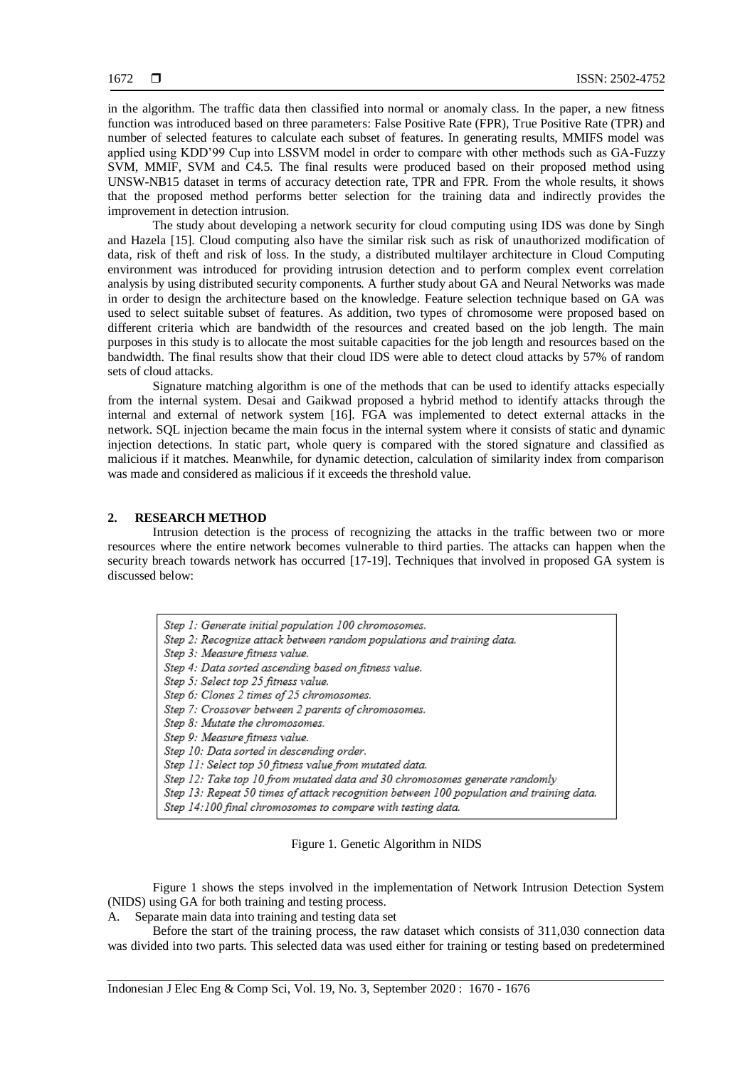in the algorithm. The traffic data then classified into normal or anomaly class. In the paper, a new fitness function was introduced based on three parameters: False Positive Rate (FPR), True Positive Rate (TPR) and number of selected features to calculate each subset of features. In generating results, MMIFS model was applied using KDD'99 Cup into LSSVM model in order to compare with other methods such as GA-Fuzzy SVM, MMIF, SVM and C4.5. The final results were produced based on their proposed method using UNSW-NB15 dataset in terms of accuracy detection rate, TPR and FPR. From the whole results, it shows that the proposed method performs better selection for the training data and indirectly provides the improvement in detection intrusion.

The study about developing a network security for cloud computing using IDS was done by Singh and Hazela [15]. Cloud computing also have the similar risk such as risk of unauthorized modification of data, risk of theft and risk of loss. In the study, a distributed multilayer architecture in Cloud Computing environment was introduced for providing intrusion detection and to perform complex event correlation analysis by using distributed security components. A further study about GA and Neural Networks was made in order to design the architecture based on the knowledge. Feature selection technique based on GA was used to select suitable subset of features. As addition, two types of chromosome were proposed based on different criteria which are bandwidth of the resources and created based on the job length. The main purposes in this study is to allocate the most suitable capacities for the job length and resources based on the bandwidth. The final results show that their cloud IDS were able to detect cloud attacks by 57% of random sets of cloud attacks.

Signature matching algorithm is one of the methods that can be used to identify attacks especially from the internal system. Desai and Gaikwad proposed a hybrid method to identify attacks through the internal and external of network system [16]. FGA was implemented to detect external attacks in the network. SQL injection became the main focus in the internal system where it consists of static and dynamic injection detections. In static part, whole query is compared with the stored signature and classified as malicious if it matches. Meanwhile, for dynamic detection, calculation of similarity index from comparison was made and considered as malicious if it exceeds the threshold value.

# **2. RESEARCH METHOD**

Intrusion detection is the process of recognizing the attacks in the traffic between two or more resources where the entire network becomes vulnerable to third parties. The attacks can happen when the security breach towards network has occurred [17-19]. Techniques that involved in proposed GA system is discussed below:

| Step 1: Generate initial population 100 chromosomes.                                     |
|------------------------------------------------------------------------------------------|
| Step 2: Recognize attack between random populations and training data.                   |
| Step 3: Measure fitness value.                                                           |
| Step 4: Data sorted ascending based on fitness value.                                    |
| Step 5: Select top 25 fitness value.                                                     |
| Step 6: Clones 2 times of 25 chromosomes.                                                |
| Step 7: Crossover between 2 parents of chromosomes.                                      |
| Step 8: Mutate the chromosomes.                                                          |
| Step 9: Measure fitness value.                                                           |
| Step 10: Data sorted in descending order.                                                |
| Step 11: Select top 50 fitness value from mutated data.                                  |
| Step 12: Take top 10 from mutated data and 30 chromosomes generate randomly              |
| Step 13: Repeat 50 times of attack recognition between 100 population and training data. |
| Step 14:100 final chromosomes to compare with testing data.                              |

Figure 1. Genetic Algorithm in NIDS

Figure 1 shows the steps involved in the implementation of Network Intrusion Detection System (NIDS) using GA for both training and testing process.

A. Separate main data into training and testing data set

Before the start of the training process, the raw dataset which consists of 311,030 connection data was divided into two parts. This selected data was used either for training or testing based on predetermined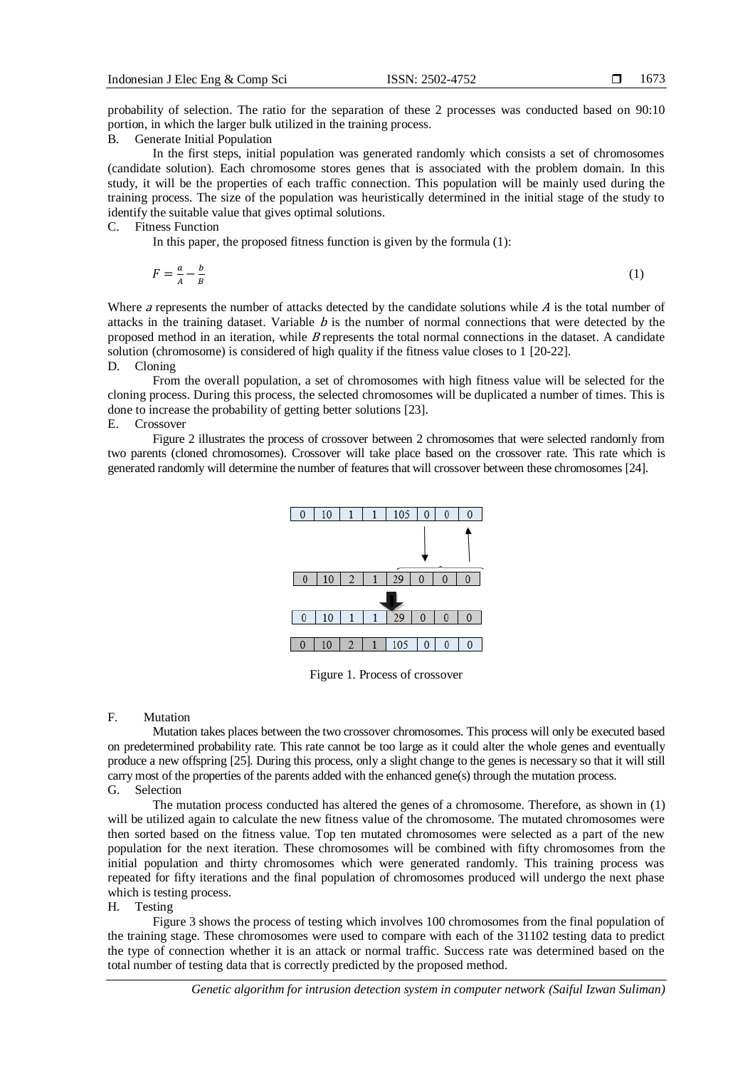probability of selection. The ratio for the separation of these 2 processes was conducted based on 90:10 portion, in which the larger bulk utilized in the training process.

B. Generate Initial Population

In the first steps, initial population was generated randomly which consists a set of chromosomes (candidate solution). Each chromosome stores genes that is associated with the problem domain. In this study, it will be the properties of each traffic connection. This population will be mainly used during the training process. The size of the population was heuristically determined in the initial stage of the study to identify the suitable value that gives optimal solutions.

#### C. Fitness Function

In this paper, the proposed fitness function is given by the formula (1):

$$
F = \frac{a}{A} - \frac{b}{B} \tag{1}
$$

Where a represents the number of attacks detected by the candidate solutions while  $\vec{A}$  is the total number of attacks in the training dataset. Variable  $b$  is the number of normal connections that were detected by the proposed method in an iteration, while B represents the total normal connections in the dataset. A candidate solution (chromosome) is considered of high quality if the fitness value closes to 1 [20-22].

#### D. Cloning

From the overall population, a set of chromosomes with high fitness value will be selected for the cloning process. During this process, the selected chromosomes will be duplicated a number of times. This is done to increase the probability of getting better solutions [23].

# E. Crossover

Figure 2 illustrates the process of crossover between 2 chromosomes that were selected randomly from two parents (cloned chromosomes). Crossover will take place based on the crossover rate. This rate which is generated randomly will determine the number of features that will crossover between these chromosomes [24].



Figure 1. Process of crossover

#### F. Mutation

Mutation takes places between the two crossover chromosomes. This process will only be executed based on predetermined probability rate. This rate cannot be too large as it could alter the whole genes and eventually produce a new offspring [25]. During this process, only a slight change to the genes is necessary so that it will still carry most of the properties of the parents added with the enhanced gene(s) through the mutation process. G. Selection

The mutation process conducted has altered the genes of a chromosome. Therefore, as shown in (1) will be utilized again to calculate the new fitness value of the chromosome. The mutated chromosomes were then sorted based on the fitness value. Top ten mutated chromosomes were selected as a part of the new population for the next iteration. These chromosomes will be combined with fifty chromosomes from the initial population and thirty chromosomes which were generated randomly. This training process was repeated for fifty iterations and the final population of chromosomes produced will undergo the next phase which is testing process.

### H. Testing

Figure 3 shows the process of testing which involves 100 chromosomes from the final population of the training stage. These chromosomes were used to compare with each of the 31102 testing data to predict the type of connection whether it is an attack or normal traffic. Success rate was determined based on the total number of testing data that is correctly predicted by the proposed method.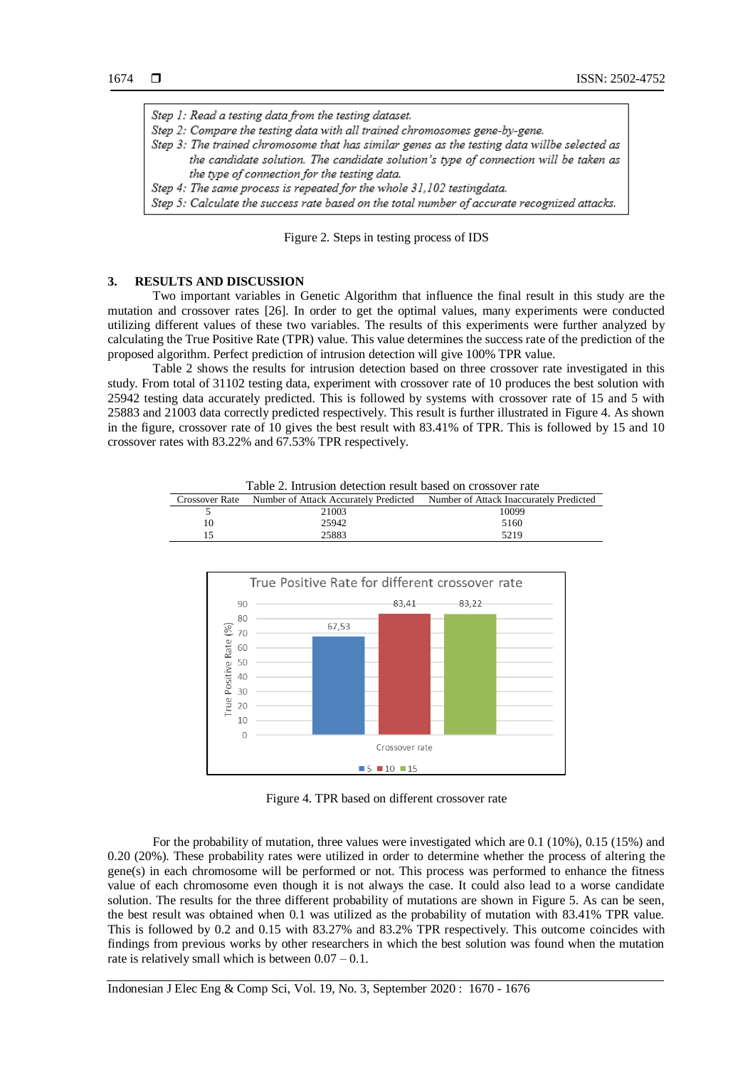Step 1: Read a testing data from the testing dataset. Step 2: Compare the testing data with all trained chromosomes gene-by-gene. Step 3: The trained chromosome that has similar genes as the testing data willbe selected as the candidate solution. The candidate solution's type of connection will be taken as the type of connection for the testing data. Step 4: The same process is repeated for the whole 31,102 testingdata. Step 5: Calculate the success rate based on the total number of accurate recognized attacks.

Figure 2. Steps in testing process of IDS

#### **3. RESULTS AND DISCUSSION**

 $10$  $\sqrt{2}$ 

Two important variables in Genetic Algorithm that influence the final result in this study are the mutation and crossover rates [26]. In order to get the optimal values, many experiments were conducted utilizing different values of these two variables. The results of this experiments were further analyzed by calculating the True Positive Rate (TPR) value. This value determines the success rate of the prediction of the proposed algorithm. Perfect prediction of intrusion detection will give 100% TPR value.

Table 2 shows the results for intrusion detection based on three crossover rate investigated in this study. From total of 31102 testing data, experiment with crossover rate of 10 produces the best solution with 25942 testing data accurately predicted. This is followed by systems with crossover rate of 15 and 5 with 25883 and 21003 data correctly predicted respectively. This result is further illustrated in Figure 4. As shown in the figure, crossover rate of 10 gives the best result with 83.41% of TPR. This is followed by 15 and 10 crossover rates with 83.22% and 67.53% TPR respectively.

5 21003 10099 10 25942 5160 15 25883 5219 True Positive Rate for different crossover rate 83.41  $90$ 83.22 80 67,53 True Positive Rate (%) 70 60 50 40 30  $20$ 

Table 2. Intrusion detection result based on crossover rate Crossover Rate Number of Attack Accurately Predicted Number of Attack Inaccurately Predicted

Figure 4. TPR based on different crossover rate

 $\blacksquare$  5  $\blacksquare$  10  $\blacksquare$  15

Crossover rate

For the probability of mutation, three values were investigated which are 0.1 (10%), 0.15 (15%) and 0.20 (20%). These probability rates were utilized in order to determine whether the process of altering the gene(s) in each chromosome will be performed or not. This process was performed to enhance the fitness value of each chromosome even though it is not always the case. It could also lead to a worse candidate solution. The results for the three different probability of mutations are shown in Figure 5. As can be seen, the best result was obtained when 0.1 was utilized as the probability of mutation with 83.41% TPR value. This is followed by 0.2 and 0.15 with 83.27% and 83.2% TPR respectively. This outcome coincides with findings from previous works by other researchers in which the best solution was found when the mutation rate is relatively small which is between  $0.07 - 0.1$ .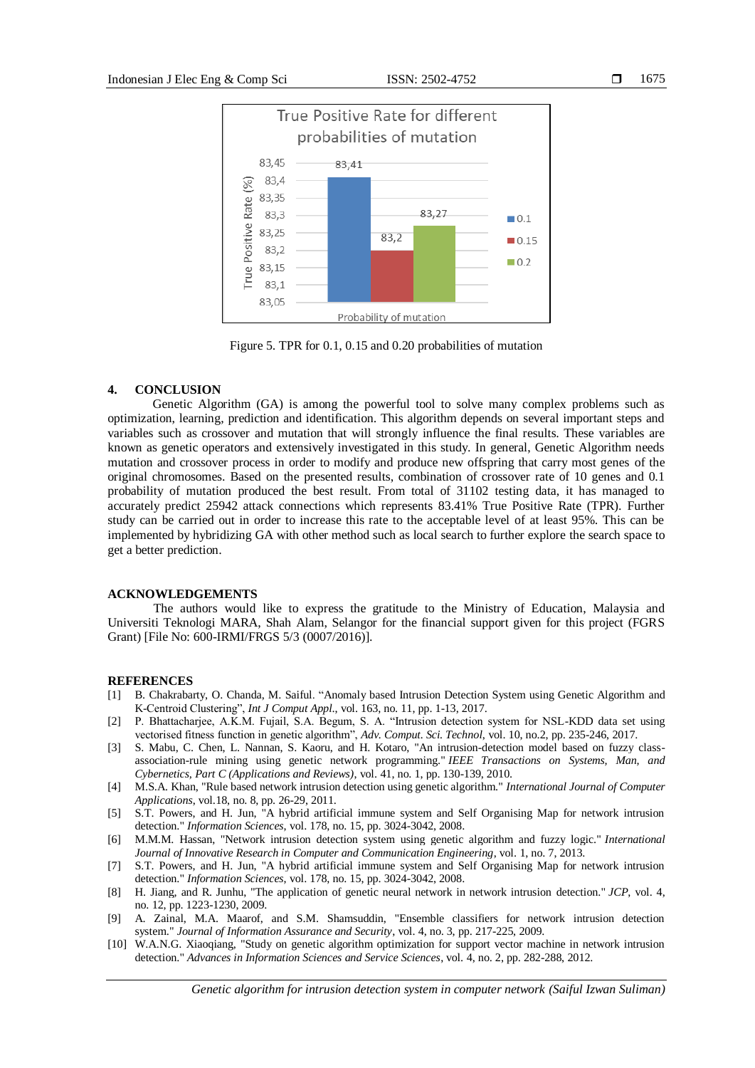

Figure 5. TPR for 0.1, 0.15 and 0.20 probabilities of mutation

### **4. CONCLUSION**

Genetic Algorithm (GA) is among the powerful tool to solve many complex problems such as optimization, learning, prediction and identification. This algorithm depends on several important steps and variables such as crossover and mutation that will strongly influence the final results. These variables are known as genetic operators and extensively investigated in this study. In general, Genetic Algorithm needs mutation and crossover process in order to modify and produce new offspring that carry most genes of the original chromosomes. Based on the presented results, combination of crossover rate of 10 genes and 0.1 probability of mutation produced the best result. From total of 31102 testing data, it has managed to accurately predict 25942 attack connections which represents 83.41% True Positive Rate (TPR). Further study can be carried out in order to increase this rate to the acceptable level of at least 95%. This can be implemented by hybridizing GA with other method such as local search to further explore the search space to get a better prediction.

### **ACKNOWLEDGEMENTS**

The authors would like to express the gratitude to the Ministry of Education, Malaysia and Universiti Teknologi MARA, Shah Alam, Selangor for the financial support given for this project (FGRS Grant) [File No: 600-IRMI/FRGS 5/3 (0007/2016)].

### **REFERENCES**

- [1] B. Chakrabarty, O. Chanda, M. Saiful. "Anomaly based Intrusion Detection System using Genetic Algorithm and K-Centroid Clustering", *Int J Comput Appl*., vol. 163, no. 11, pp. 1-13, 2017.
- [2] P. Bhattacharjee, A.K.M. Fujail, S.A. Begum, S. A. "Intrusion detection system for NSL-KDD data set using vectorised fitness function in genetic algorithm", *Adv. Comput. Sci. Technol*, vol. 10, no.2, pp. 235-246, 2017.
- [3] S. Mabu, C. Chen, L. Nannan, S. Kaoru, and H. Kotaro, "An intrusion-detection model based on fuzzy classassociation-rule mining using genetic network programming." *IEEE Transactions on Systems, Man, and Cybernetics, Part C (Applications and Reviews)*, vol. 41, no. 1, pp. 130-139, 2010.
- [4] M.S.A. Khan, "Rule based network intrusion detection using genetic algorithm." *International Journal of Computer Applications*, vol.18, no. 8, pp. 26-29, 2011.
- [5] S.T. Powers, and H. Jun, "A hybrid artificial immune system and Self Organising Map for network intrusion detection." *Information Sciences*, vol. 178, no. 15, pp. 3024-3042, 2008.
- [6] M.M.M. Hassan, "Network intrusion detection system using genetic algorithm and fuzzy logic." *International Journal of Innovative Research in Computer and Communication Engineering*, vol. 1, no. 7, 2013.
- [7] S.T. Powers, and H. Jun, "A hybrid artificial immune system and Self Organising Map for network intrusion detection." *Information Sciences*, vol. 178, no. 15, pp. 3024-3042, 2008.
- [8] H. Jiang, and R. Junhu, "The application of genetic neural network in network intrusion detection." *JCP*, vol. 4, no. 12, pp. 1223-1230, 2009.
- [9] A. Zainal, M.A. Maarof, and S.M. Shamsuddin, "Ensemble classifiers for network intrusion detection system." *Journal of Information Assurance and Security*, vol. 4, no. 3, pp. 217-225, 2009.
- [10] W.A.N.G. Xiaoqiang, "Study on genetic algorithm optimization for support vector machine in network intrusion detection." *Advances in Information Sciences and Service Sciences*, vol. 4, no. 2, pp. 282-288, 2012.